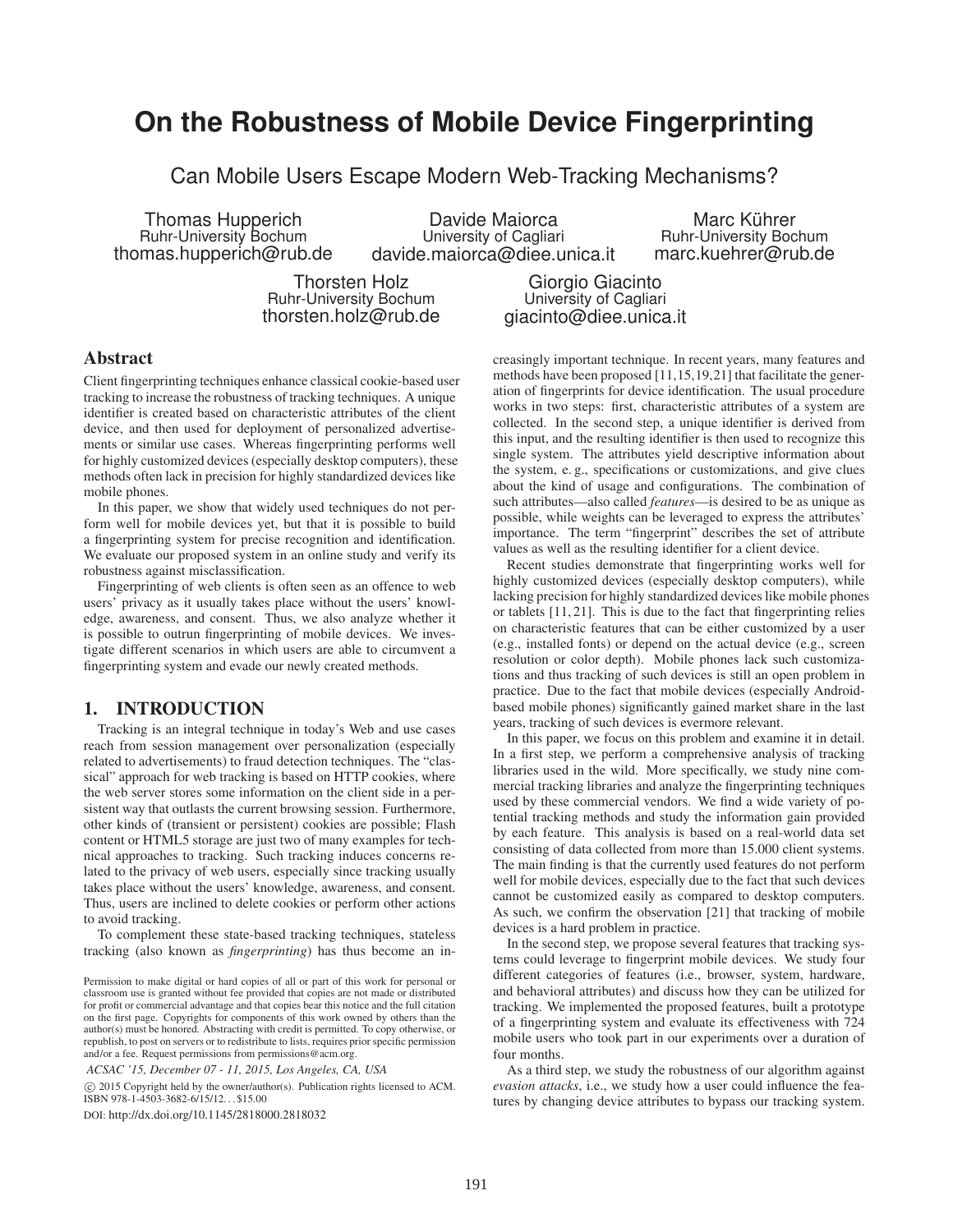# **On the Robustness of Mobile Device Fingerprinting**

Can Mobile Users Escape Modern Web-Tracking Mechanisms?

Thomas Hupperich Ruhr-University Bochum thomas.hupperich@rub.de

Davide Maiorca University of Cagliari davide.maiorca@diee.unica.it

Marc Kührer Ruhr-University Bochum marc.kuehrer@rub.de

Thorsten Holz Ruhr-University Bochum thorsten.holz@rub.de

Giorgio Giacinto University of Cagliari giacinto@diee.unica.it

## Abstract

Client fingerprinting techniques enhance classical cookie-based user tracking to increase the robustness of tracking techniques. A unique identifier is created based on characteristic attributes of the client device, and then used for deployment of personalized advertisements or similar use cases. Whereas fingerprinting performs well for highly customized devices (especially desktop computers), these methods often lack in precision for highly standardized devices like mobile phones.

In this paper, we show that widely used techniques do not perform well for mobile devices yet, but that it is possible to build a fingerprinting system for precise recognition and identification. We evaluate our proposed system in an online study and verify its robustness against misclassification.

Fingerprinting of web clients is often seen as an offence to web users' privacy as it usually takes place without the users' knowledge, awareness, and consent. Thus, we also analyze whether it is possible to outrun fingerprinting of mobile devices. We investigate different scenarios in which users are able to circumvent a fingerprinting system and evade our newly created methods.

## 1. INTRODUCTION

Tracking is an integral technique in today's Web and use cases reach from session management over personalization (especially related to advertisements) to fraud detection techniques. The "classical" approach for web tracking is based on HTTP cookies, where the web server stores some information on the client side in a persistent way that outlasts the current browsing session. Furthermore, other kinds of (transient or persistent) cookies are possible; Flash content or HTML5 storage are just two of many examples for technical approaches to tracking. Such tracking induces concerns related to the privacy of web users, especially since tracking usually takes place without the users' knowledge, awareness, and consent. Thus, users are inclined to delete cookies or perform other actions to avoid tracking.

To complement these state-based tracking techniques, stateless tracking (also known as *fingerprinting*) has thus become an in-

*ACSAC '15, December 07 - 11, 2015, Los Angeles, CA, USA*

 $\odot$  2015 Copyright held by the owner/author(s). Publication rights licensed to ACM. ISBN 978-1-4503-3682-6/15/12. . . \$15.00

DOI: http://dx.doi.org/10.1145/2818000.2818032

creasingly important technique. In recent years, many features and methods have been proposed [11,15,19,21] that facilitate the generation of fingerprints for device identification. The usual procedure works in two steps: first, characteristic attributes of a system are collected. In the second step, a unique identifier is derived from this input, and the resulting identifier is then used to recognize this single system. The attributes yield descriptive information about the system, e. g., specifications or customizations, and give clues about the kind of usage and configurations. The combination of such attributes—also called *features*—is desired to be as unique as possible, while weights can be leveraged to express the attributes' importance. The term "fingerprint" describes the set of attribute values as well as the resulting identifier for a client device.

Recent studies demonstrate that fingerprinting works well for highly customized devices (especially desktop computers), while lacking precision for highly standardized devices like mobile phones or tablets [11, 21]. This is due to the fact that fingerprinting relies on characteristic features that can be either customized by a user (e.g., installed fonts) or depend on the actual device (e.g., screen resolution or color depth). Mobile phones lack such customizations and thus tracking of such devices is still an open problem in practice. Due to the fact that mobile devices (especially Androidbased mobile phones) significantly gained market share in the last years, tracking of such devices is evermore relevant.

In this paper, we focus on this problem and examine it in detail. In a first step, we perform a comprehensive analysis of tracking libraries used in the wild. More specifically, we study nine commercial tracking libraries and analyze the fingerprinting techniques used by these commercial vendors. We find a wide variety of potential tracking methods and study the information gain provided by each feature. This analysis is based on a real-world data set consisting of data collected from more than 15.000 client systems. The main finding is that the currently used features do not perform well for mobile devices, especially due to the fact that such devices cannot be customized easily as compared to desktop computers. As such, we confirm the observation [21] that tracking of mobile devices is a hard problem in practice.

In the second step, we propose several features that tracking systems could leverage to fingerprint mobile devices. We study four different categories of features (i.e., browser, system, hardware, and behavioral attributes) and discuss how they can be utilized for tracking. We implemented the proposed features, built a prototype of a fingerprinting system and evaluate its effectiveness with 724 mobile users who took part in our experiments over a duration of four months.

As a third step, we study the robustness of our algorithm against *evasion attacks*, i.e., we study how a user could influence the features by changing device attributes to bypass our tracking system.

Permission to make digital or hard copies of all or part of this work for personal or classroom use is granted without fee provided that copies are not made or distributed for profit or commercial advantage and that copies bear this notice and the full citation on the first page. Copyrights for components of this work owned by others than the author(s) must be honored. Abstracting with credit is permitted. To copy otherwise, or republish, to post on servers or to redistribute to lists, requires prior specific permission and/or a fee. Request permissions from permissions@acm.org.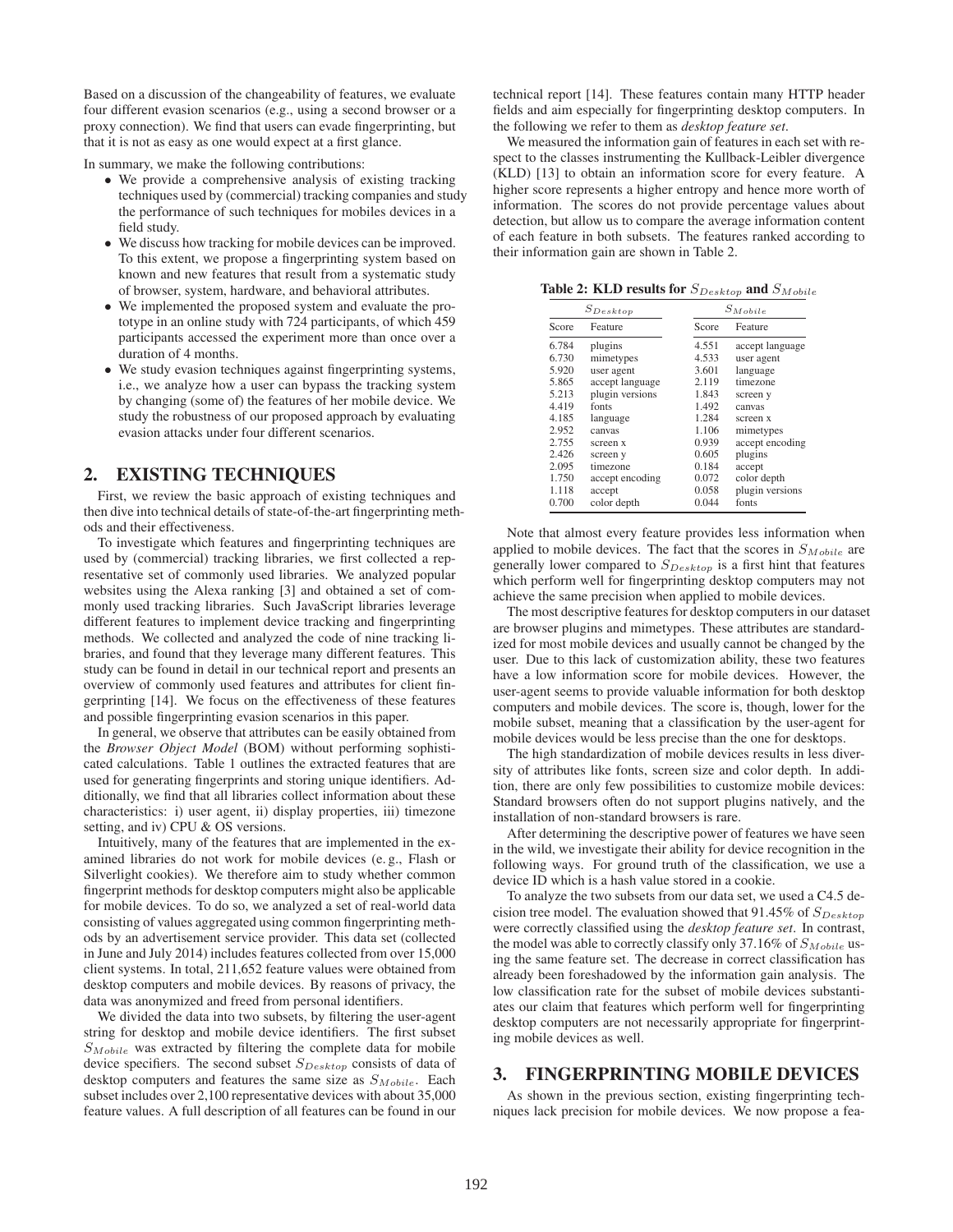Based on a discussion of the changeability of features, we evaluate four different evasion scenarios (e.g., using a second browser or a proxy connection). We find that users can evade fingerprinting, but that it is not as easy as one would expect at a first glance.

In summary, we make the following contributions:

- We provide a comprehensive analysis of existing tracking techniques used by (commercial) tracking companies and study the performance of such techniques for mobiles devices in a field study.
- We discuss how tracking for mobile devices can be improved. To this extent, we propose a fingerprinting system based on known and new features that result from a systematic study of browser, system, hardware, and behavioral attributes.
- We implemented the proposed system and evaluate the prototype in an online study with 724 participants, of which 459 participants accessed the experiment more than once over a duration of 4 months.
- We study evasion techniques against fingerprinting systems, i.e., we analyze how a user can bypass the tracking system by changing (some of) the features of her mobile device. We study the robustness of our proposed approach by evaluating evasion attacks under four different scenarios.

## 2. EXISTING TECHNIQUES

First, we review the basic approach of existing techniques and then dive into technical details of state-of-the-art fingerprinting methods and their effectiveness.

To investigate which features and fingerprinting techniques are used by (commercial) tracking libraries, we first collected a representative set of commonly used libraries. We analyzed popular websites using the Alexa ranking [3] and obtained a set of commonly used tracking libraries. Such JavaScript libraries leverage different features to implement device tracking and fingerprinting methods. We collected and analyzed the code of nine tracking libraries, and found that they leverage many different features. This study can be found in detail in our technical report and presents an overview of commonly used features and attributes for client fingerprinting [14]. We focus on the effectiveness of these features and possible fingerprinting evasion scenarios in this paper.

In general, we observe that attributes can be easily obtained from the *Browser Object Model* (BOM) without performing sophisticated calculations. Table 1 outlines the extracted features that are used for generating fingerprints and storing unique identifiers. Additionally, we find that all libraries collect information about these characteristics: i) user agent, ii) display properties, iii) timezone setting, and iv) CPU & OS versions.

Intuitively, many of the features that are implemented in the examined libraries do not work for mobile devices (e. g., Flash or Silverlight cookies). We therefore aim to study whether common fingerprint methods for desktop computers might also be applicable for mobile devices. To do so, we analyzed a set of real-world data consisting of values aggregated using common fingerprinting methods by an advertisement service provider. This data set (collected in June and July 2014) includes features collected from over 15,000 client systems. In total, 211,652 feature values were obtained from desktop computers and mobile devices. By reasons of privacy, the data was anonymized and freed from personal identifiers.

We divided the data into two subsets, by filtering the user-agent string for desktop and mobile device identifiers. The first subset  $S_{Mobile}$  was extracted by filtering the complete data for mobile device specifiers. The second subset  $S_{Desktop}$  consists of data of desktop computers and features the same size as  $S_{Mobile}$ . Each subset includes over 2,100 representative devices with about 35,000 feature values. A full description of all features can be found in our

technical report [14]. These features contain many HTTP header fields and aim especially for fingerprinting desktop computers. In the following we refer to them as *desktop feature set*.

We measured the information gain of features in each set with respect to the classes instrumenting the Kullback-Leibler divergence (KLD) [13] to obtain an information score for every feature. A higher score represents a higher entropy and hence more worth of information. The scores do not provide percentage values about detection, but allow us to compare the average information content of each feature in both subsets. The features ranked according to their information gain are shown in Table 2.

Table 2: KLD results for  $S_{Desktop}$  and  $S_{Mobile}$ 

| $S_{Desktop}$                                                                                                                                                            |             |                                  | $S_{\textit{Mobile}}$                                                                                                                                                                   |  |  |
|--------------------------------------------------------------------------------------------------------------------------------------------------------------------------|-------------|----------------------------------|-----------------------------------------------------------------------------------------------------------------------------------------------------------------------------------------|--|--|
| Feature                                                                                                                                                                  |             | Score                            | Feature                                                                                                                                                                                 |  |  |
| plugins<br>mimetypes<br>user agent<br>accept language<br>plugin versions<br>fonts<br>language<br>canvas<br>screen x<br>screen y<br>timezone<br>accept encoding<br>accept |             | 1.843<br>1.492<br>1.284<br>1.106 | accept language<br>user agent<br>language<br>timezone<br>screen y<br>canvas<br>screen x<br>mimetypes<br>accept encoding<br>plugins<br>accept<br>color depth<br>plugin versions<br>fonts |  |  |
|                                                                                                                                                                          | color depth |                                  | 4.551<br>4.533<br>3.601<br>2.119<br>0.939<br>0.605<br>0.184<br>0.072<br>0.058<br>0.044                                                                                                  |  |  |

Note that almost every feature provides less information when applied to mobile devices. The fact that the scores in  $S_{Mobile}$  are generally lower compared to  $S_{Desktop}$  is a first hint that features which perform well for fingerprinting desktop computers may not achieve the same precision when applied to mobile devices.

The most descriptive features for desktop computers in our dataset are browser plugins and mimetypes. These attributes are standardized for most mobile devices and usually cannot be changed by the user. Due to this lack of customization ability, these two features have a low information score for mobile devices. However, the user-agent seems to provide valuable information for both desktop computers and mobile devices. The score is, though, lower for the mobile subset, meaning that a classification by the user-agent for mobile devices would be less precise than the one for desktops.

The high standardization of mobile devices results in less diversity of attributes like fonts, screen size and color depth. In addition, there are only few possibilities to customize mobile devices: Standard browsers often do not support plugins natively, and the installation of non-standard browsers is rare.

After determining the descriptive power of features we have seen in the wild, we investigate their ability for device recognition in the following ways. For ground truth of the classification, we use a device ID which is a hash value stored in a cookie.

To analyze the two subsets from our data set, we used a C4.5 decision tree model. The evaluation showed that 91.45% of  $S_{Desktop}$ were correctly classified using the *desktop feature set*. In contrast, the model was able to correctly classify only 37.16% of  $S_{Mobile}$  using the same feature set. The decrease in correct classification has already been foreshadowed by the information gain analysis. The low classification rate for the subset of mobile devices substantiates our claim that features which perform well for fingerprinting desktop computers are not necessarily appropriate for fingerprinting mobile devices as well.

#### 3. FINGERPRINTING MOBILE DEVICES

As shown in the previous section, existing fingerprinting techniques lack precision for mobile devices. We now propose a fea-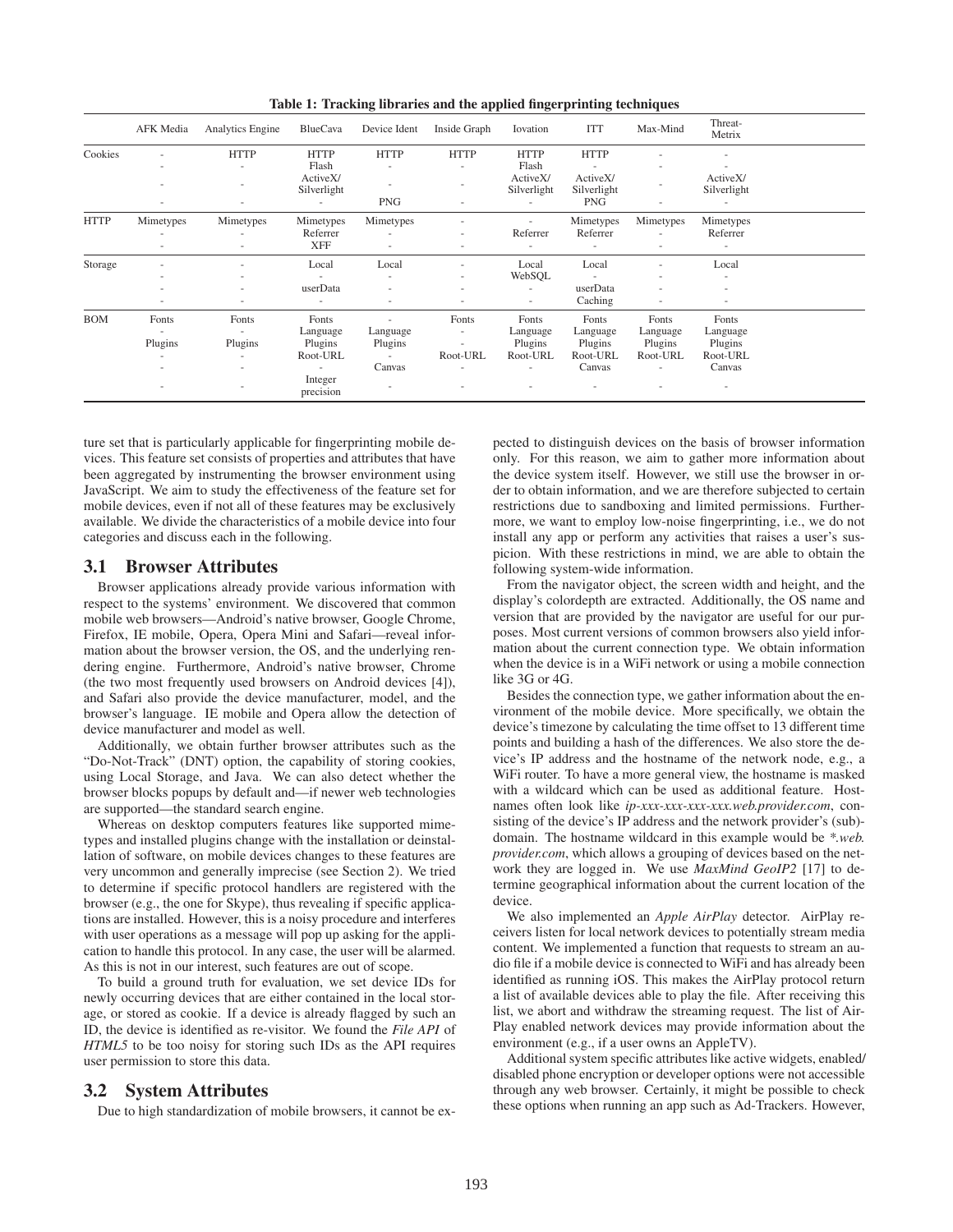|             | AFK Media | Analytics Engine         | BlueCava                | Device Ident             | Inside Graph             | Iovation                 | <b>ITT</b>              | Max-Mind                 | Threat-<br>Metrix       |  |
|-------------|-----------|--------------------------|-------------------------|--------------------------|--------------------------|--------------------------|-------------------------|--------------------------|-------------------------|--|
| Cookies     |           | <b>HTTP</b>              | <b>HTTP</b>             | <b>HTTP</b>              | <b>HTTP</b>              | <b>HTTP</b>              | <b>HTTP</b>             |                          |                         |  |
|             | ٠         |                          | Flash                   | $\sim$                   | $\overline{\phantom{a}}$ | Flash                    | $\sim$                  | ٠                        | ٠                       |  |
|             |           |                          | ActiveX/<br>Silverlight | $\overline{\phantom{a}}$ | ٠                        | ActiveX/<br>Silverlight  | ActiveX/<br>Silverlight |                          | ActiveX/<br>Silverlight |  |
|             |           |                          | $\sim$                  | <b>PNG</b>               | ٠                        | $\sim$                   | <b>PNG</b>              | $\overline{\phantom{a}}$ | $\sim$                  |  |
| <b>HTTP</b> | Mimetypes | Mimetypes                | Mimetypes               | Mimetypes                |                          | $\sim 100$               | Mimetypes               | Mimetypes                | Mimetypes               |  |
|             |           |                          | Referrer                | $\sim$                   | ٠                        | Referrer                 | Referrer                | $\overline{\phantom{a}}$ | Referrer                |  |
|             |           | $\sim$                   | <b>XFF</b>              | $\sim$                   | $\overline{\phantom{a}}$ | $\sim$                   | $\sim$                  | $\sim$                   | $\sim$                  |  |
| Storage     |           | $\sim$                   | Local                   | Local                    |                          | Local                    | Local                   | ٠                        | Local                   |  |
|             |           |                          | $\sim$                  | $\sim$                   |                          | WebSQL                   | $\sim 100$              | ٠                        |                         |  |
|             |           | ٠                        | userData                | $\sim$                   |                          | $\sim$                   | userData                |                          | ۰                       |  |
|             |           |                          | $\sim$                  | $\overline{\phantom{a}}$ |                          | $\overline{\phantom{a}}$ | Caching                 | $\overline{\phantom{a}}$ | ٠                       |  |
| <b>BOM</b>  | Fonts     | Fonts                    | Fonts                   | $\sim$                   | Fonts                    | Fonts                    | Fonts                   | Fonts                    | Fonts                   |  |
|             |           | $\overline{\phantom{a}}$ | Language                | Language                 | $\sim$                   | Language                 | Language                | Language                 | Language                |  |
|             | Plugins   | Plugins                  | Plugins                 | Plugins                  | $\sim$                   | Plugins                  | Plugins                 | Plugins                  | Plugins                 |  |
|             |           | $\sim$                   | Root-URL                | <b>Contractor</b>        | Root-URL                 | Root-URL                 | Root-URL                | Root-URL                 | Root-URL                |  |
|             |           | $\sim$                   | $\sim$                  | Canvas                   |                          | $\sim$                   | Canvas                  | $\sim$                   | Canvas                  |  |
|             |           |                          | Integer<br>precision    | $\sim$                   |                          |                          |                         | ٠                        | ٠                       |  |

Table 1: Tracking libraries and the applied fingerprinting techniques

ture set that is particularly applicable for fingerprinting mobile devices. This feature set consists of properties and attributes that have been aggregated by instrumenting the browser environment using JavaScript. We aim to study the effectiveness of the feature set for mobile devices, even if not all of these features may be exclusively available. We divide the characteristics of a mobile device into four categories and discuss each in the following.

## 3.1 Browser Attributes

Browser applications already provide various information with respect to the systems' environment. We discovered that common mobile web browsers—Android's native browser, Google Chrome, Firefox, IE mobile, Opera, Opera Mini and Safari—reveal information about the browser version, the OS, and the underlying rendering engine. Furthermore, Android's native browser, Chrome (the two most frequently used browsers on Android devices [4]), and Safari also provide the device manufacturer, model, and the browser's language. IE mobile and Opera allow the detection of device manufacturer and model as well.

Additionally, we obtain further browser attributes such as the "Do-Not-Track" (DNT) option, the capability of storing cookies, using Local Storage, and Java. We can also detect whether the browser blocks popups by default and—if newer web technologies are supported—the standard search engine.

Whereas on desktop computers features like supported mimetypes and installed plugins change with the installation or deinstallation of software, on mobile devices changes to these features are very uncommon and generally imprecise (see Section 2). We tried to determine if specific protocol handlers are registered with the browser (e.g., the one for Skype), thus revealing if specific applications are installed. However, this is a noisy procedure and interferes with user operations as a message will pop up asking for the application to handle this protocol. In any case, the user will be alarmed. As this is not in our interest, such features are out of scope.

To build a ground truth for evaluation, we set device IDs for newly occurring devices that are either contained in the local storage, or stored as cookie. If a device is already flagged by such an ID, the device is identified as re-visitor. We found the *File API* of *HTML5* to be too noisy for storing such IDs as the API requires user permission to store this data.

#### 3.2 System Attributes

Due to high standardization of mobile browsers, it cannot be ex-

pected to distinguish devices on the basis of browser information only. For this reason, we aim to gather more information about the device system itself. However, we still use the browser in order to obtain information, and we are therefore subjected to certain restrictions due to sandboxing and limited permissions. Furthermore, we want to employ low-noise fingerprinting, i.e., we do not install any app or perform any activities that raises a user's suspicion. With these restrictions in mind, we are able to obtain the following system-wide information.

From the navigator object, the screen width and height, and the display's colordepth are extracted. Additionally, the OS name and version that are provided by the navigator are useful for our purposes. Most current versions of common browsers also yield information about the current connection type. We obtain information when the device is in a WiFi network or using a mobile connection like 3G or 4G.

Besides the connection type, we gather information about the environment of the mobile device. More specifically, we obtain the device's timezone by calculating the time offset to 13 different time points and building a hash of the differences. We also store the device's IP address and the hostname of the network node, e.g., a WiFi router. To have a more general view, the hostname is masked with a wildcard which can be used as additional feature. Hostnames often look like *ip-xxx-xxx-xxx-xxx.web.provider.com*, consisting of the device's IP address and the network provider's (sub) domain. The hostname wildcard in this example would be *\*.web. provider.com*, which allows a grouping of devices based on the network they are logged in. We use *MaxMind GeoIP2* [17] to determine geographical information about the current location of the device.

We also implemented an *Apple AirPlay* detector. AirPlay receivers listen for local network devices to potentially stream media content. We implemented a function that requests to stream an audio file if a mobile device is connected to WiFi and has already been identified as running iOS. This makes the AirPlay protocol return a list of available devices able to play the file. After receiving this list, we abort and withdraw the streaming request. The list of Air-Play enabled network devices may provide information about the environment (e.g., if a user owns an AppleTV).

Additional system specific attributes like active widgets, enabled/ disabled phone encryption or developer options were not accessible through any web browser. Certainly, it might be possible to check these options when running an app such as Ad-Trackers. However,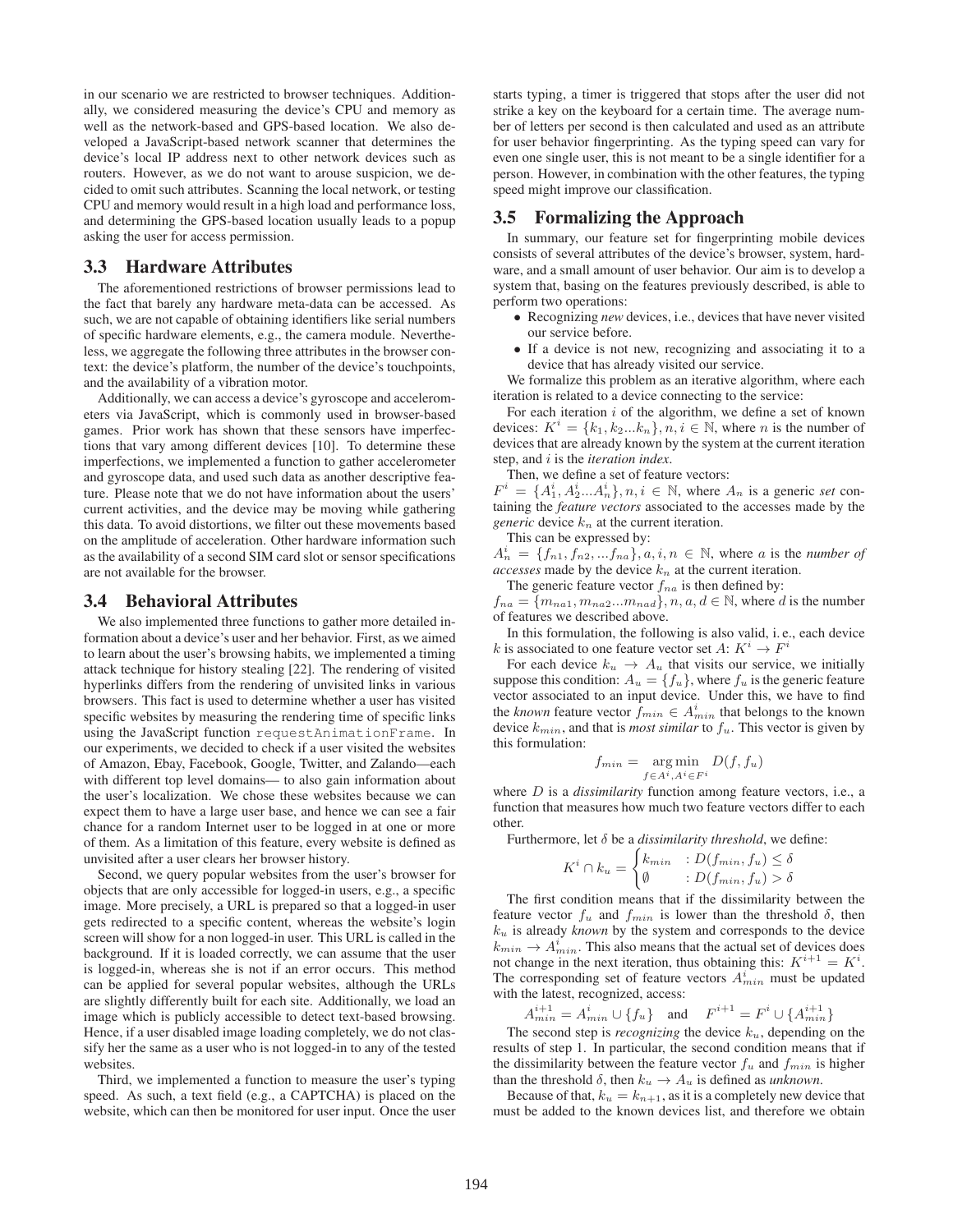in our scenario we are restricted to browser techniques. Additionally, we considered measuring the device's CPU and memory as well as the network-based and GPS-based location. We also developed a JavaScript-based network scanner that determines the device's local IP address next to other network devices such as routers. However, as we do not want to arouse suspicion, we decided to omit such attributes. Scanning the local network, or testing CPU and memory would result in a high load and performance loss, and determining the GPS-based location usually leads to a popup asking the user for access permission.

#### 3.3 Hardware Attributes

The aforementioned restrictions of browser permissions lead to the fact that barely any hardware meta-data can be accessed. As such, we are not capable of obtaining identifiers like serial numbers of specific hardware elements, e.g., the camera module. Nevertheless, we aggregate the following three attributes in the browser context: the device's platform, the number of the device's touchpoints, and the availability of a vibration motor.

Additionally, we can access a device's gyroscope and accelerometers via JavaScript, which is commonly used in browser-based games. Prior work has shown that these sensors have imperfections that vary among different devices [10]. To determine these imperfections, we implemented a function to gather accelerometer and gyroscope data, and used such data as another descriptive feature. Please note that we do not have information about the users' current activities, and the device may be moving while gathering this data. To avoid distortions, we filter out these movements based on the amplitude of acceleration. Other hardware information such as the availability of a second SIM card slot or sensor specifications are not available for the browser.

#### 3.4 Behavioral Attributes

We also implemented three functions to gather more detailed information about a device's user and her behavior. First, as we aimed to learn about the user's browsing habits, we implemented a timing attack technique for history stealing [22]. The rendering of visited hyperlinks differs from the rendering of unvisited links in various browsers. This fact is used to determine whether a user has visited specific websites by measuring the rendering time of specific links using the JavaScript function requestAnimationFrame. In our experiments, we decided to check if a user visited the websites of Amazon, Ebay, Facebook, Google, Twitter, and Zalando—each with different top level domains— to also gain information about the user's localization. We chose these websites because we can expect them to have a large user base, and hence we can see a fair chance for a random Internet user to be logged in at one or more of them. As a limitation of this feature, every website is defined as unvisited after a user clears her browser history.

Second, we query popular websites from the user's browser for objects that are only accessible for logged-in users, e.g., a specific image. More precisely, a URL is prepared so that a logged-in user gets redirected to a specific content, whereas the website's login screen will show for a non logged-in user. This URL is called in the background. If it is loaded correctly, we can assume that the user is logged-in, whereas she is not if an error occurs. This method can be applied for several popular websites, although the URLs are slightly differently built for each site. Additionally, we load an image which is publicly accessible to detect text-based browsing. Hence, if a user disabled image loading completely, we do not classify her the same as a user who is not logged-in to any of the tested websites.

Third, we implemented a function to measure the user's typing speed. As such, a text field (e.g., a CAPTCHA) is placed on the website, which can then be monitored for user input. Once the user starts typing, a timer is triggered that stops after the user did not strike a key on the keyboard for a certain time. The average number of letters per second is then calculated and used as an attribute for user behavior fingerprinting. As the typing speed can vary for even one single user, this is not meant to be a single identifier for a person. However, in combination with the other features, the typing speed might improve our classification.

## 3.5 Formalizing the Approach

In summary, our feature set for fingerprinting mobile devices consists of several attributes of the device's browser, system, hardware, and a small amount of user behavior. Our aim is to develop a system that, basing on the features previously described, is able to perform two operations:

- Recognizing *new* devices, i.e., devices that have never visited our service before.
- If a device is not new, recognizing and associating it to a device that has already visited our service.

We formalize this problem as an iterative algorithm, where each iteration is related to a device connecting to the service:

For each iteration  $i$  of the algorithm, we define a set of known devices:  $K^i = \{k_1, k_2...k_n\}, n, i \in \mathbb{N}$ , where *n* is the number of devices that are already known by the system at the current iteration step, and i is the *iteration index*.

Then, we define a set of feature vectors:

 $F^i = \{A_1^i, A_2^i...A_n^i\}, n, i \in \mathbb{N}$ , where  $A_n$  is a generic set con-<br>taining the feature useders associated to the accesses made by the taining the *feature vectors* associated to the accesses made by the *generic* device  $k_n$  at the current iteration.

This can be expressed by:

 $A_n^i = \{f_{n1}, f_{n2}, \dots, f_{na}\}, a, i, n \in \mathbb{N}$ , where a is the *number of* accesses mode by the device k, at the current iteration *accesses* made by the device  $k_n$  at the current iteration.

The generic feature vector  $f_{na}$  is then defined by:

 $f_{na} = \{m_{na1}, m_{na2}...m_{nad}\}, n, a, d \in \mathbb{N}$ , where d is the number of features we described above.

In this formulation, the following is also valid, i. e., each device k is associated to one feature vector set A:  $K^i \rightarrow F^i$ 

For each device  $k_u \rightarrow A_u$  that visits our service, we initially suppose this condition:  $A_u = \{f_u\}$ , where  $f_u$  is the generic feature vector associated to an input device. Under this, we have to find the *known* feature vector  $f_{min} \in A_{min}^i$  that belongs to the known<br>device  $k_i$  and that is most similar to f. This vector is given by device  $k_{min}$ , and that is *most similar* to  $f_u$ . This vector is given by this formulation:

$$
f_{min} = \underset{f \in A^i, A^i \in F^i}{\arg \min} D(f, f_u)
$$

 $f \in A^i, A^i \in F^i$ <br>where *D* is a *dissimilarity* function among feature vectors, i.e., a function that measures how much two feature vectors differ to each other.

Furthermore, let  $\delta$  be a *dissimilarity threshold*, we define:

$$
K^i \cap k_u = \begin{cases} k_{min} & : D(f_{min}, f_u) \le \delta \\ \emptyset & : D(f_{min}, f_u) > \delta \end{cases}
$$

The first condition means that if the dissimilarity between the feature vector  $f_u$  and  $f_{min}$  is lower than the threshold  $\delta$ , then  $k<sub>u</sub>$  is already *known* by the system and corresponds to the device  $k_{min} \rightarrow A_{min}^i$ . This also means that the actual set of devices does not change in the next iteration, thus obtaining this:  $K^{i+1} = K^i$ . The corresponding set of feature vectors  $A_{min}^i$  must be updated<br>with the latest recognized access: with the latest, recognized, access:

 $A^{i+1}_{min} = A^i_{min} \cup \{f_u\}$  and  $F^{i+1} = F^i \cup \{A^{i+1}_{min}\}$ 

The second step is  $recompizing$  the device  $k<sub>u</sub>$ , depending on the results of step 1. In particular, the second condition means that if the dissimilarity between the feature vector  $f_u$  and  $f_{min}$  is higher than the threshold  $\delta$ , then  $k_u \to A_u$  is defined as *unknown*.

Because of that,  $k_u = k_{n+1}$ , as it is a completely new device that must be added to the known devices list, and therefore we obtain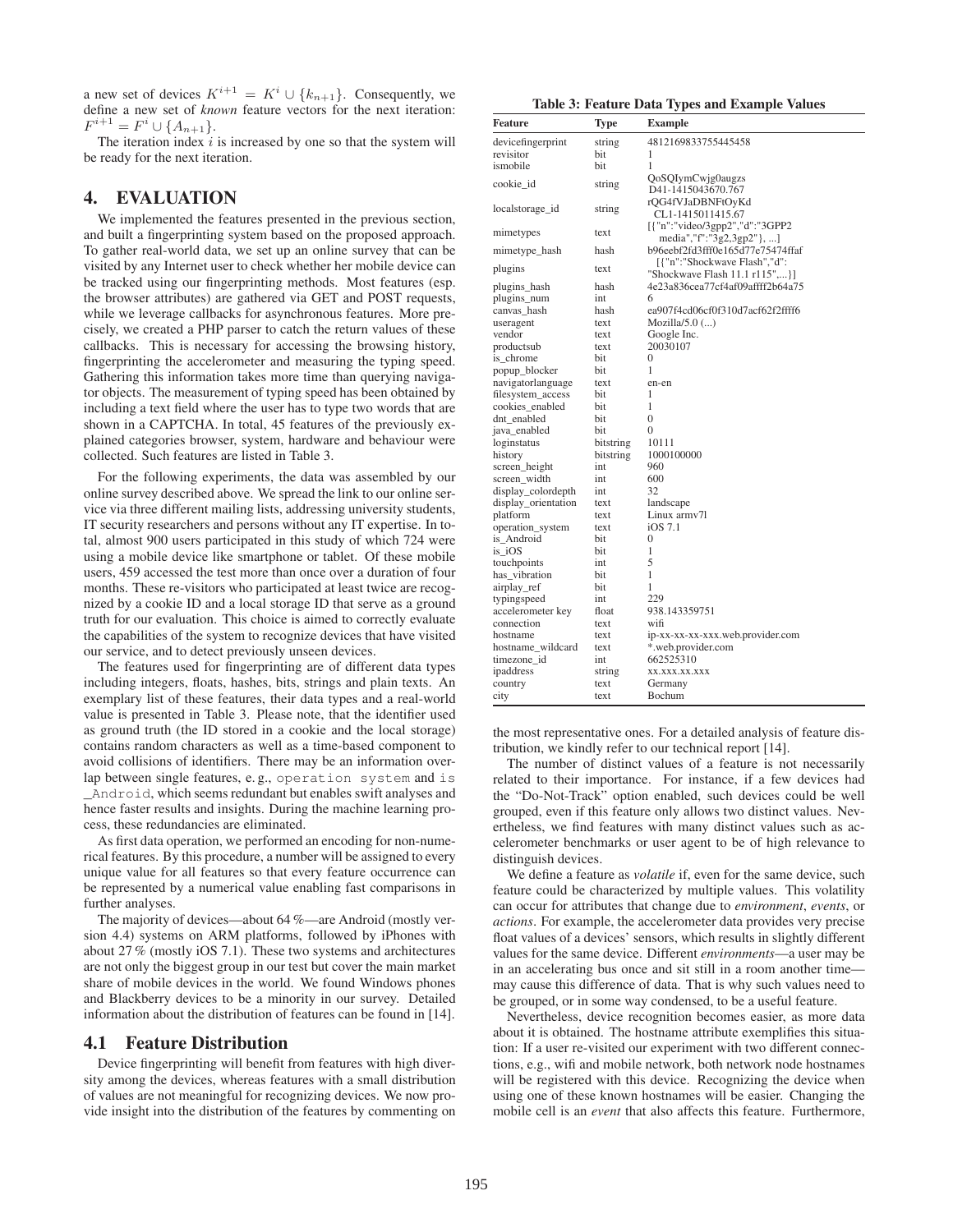a new set of devices  $K^{i+1} = K^i \cup \{k_{n+1}\}\$ . Consequently, we define a new set of *known* feature vectors for the next iteration:  $F^{i+1} = F^i \cup \{A_{n+1}\}.$ 

The iteration index  $i$  is increased by one so that the system will be ready for the next iteration.

## 4. EVALUATION

We implemented the features presented in the previous section, and built a fingerprinting system based on the proposed approach. To gather real-world data, we set up an online survey that can be visited by any Internet user to check whether her mobile device can be tracked using our fingerprinting methods. Most features (esp. the browser attributes) are gathered via GET and POST requests, while we leverage callbacks for asynchronous features. More precisely, we created a PHP parser to catch the return values of these callbacks. This is necessary for accessing the browsing history, fingerprinting the accelerometer and measuring the typing speed. Gathering this information takes more time than querying navigator objects. The measurement of typing speed has been obtained by including a text field where the user has to type two words that are shown in a CAPTCHA. In total, 45 features of the previously explained categories browser, system, hardware and behaviour were collected. Such features are listed in Table 3.

For the following experiments, the data was assembled by our online survey described above. We spread the link to our online service via three different mailing lists, addressing university students, IT security researchers and persons without any IT expertise. In total, almost 900 users participated in this study of which 724 were using a mobile device like smartphone or tablet. Of these mobile users, 459 accessed the test more than once over a duration of four months. These re-visitors who participated at least twice are recognized by a cookie ID and a local storage ID that serve as a ground truth for our evaluation. This choice is aimed to correctly evaluate the capabilities of the system to recognize devices that have visited our service, and to detect previously unseen devices.

The features used for fingerprinting are of different data types including integers, floats, hashes, bits, strings and plain texts. An exemplary list of these features, their data types and a real-world value is presented in Table 3. Please note, that the identifier used as ground truth (the ID stored in a cookie and the local storage) contains random characters as well as a time-based component to avoid collisions of identifiers. There may be an information overlap between single features, e. g., operation system and is \_Android, which seems redundant but enables swift analyses and hence faster results and insights. During the machine learning process, these redundancies are eliminated.

As first data operation, we performed an encoding for non-numerical features. By this procedure, a number will be assigned to every unique value for all features so that every feature occurrence can be represented by a numerical value enabling fast comparisons in further analyses.

The majority of devices—about 64 %—are Android (mostly version 4.4) systems on ARM platforms, followed by iPhones with about 27 % (mostly iOS 7.1). These two systems and architectures are not only the biggest group in our test but cover the main market share of mobile devices in the world. We found Windows phones and Blackberry devices to be a minority in our survey. Detailed information about the distribution of features can be found in [14].

## 4.1 Feature Distribution

Device fingerprinting will benefit from features with high diversity among the devices, whereas features with a small distribution of values are not meaningful for recognizing devices. We now provide insight into the distribution of the features by commenting on

| Table 3: Feature Data Types and Example Values |  |  |  |  |  |  |  |
|------------------------------------------------|--|--|--|--|--|--|--|
|------------------------------------------------|--|--|--|--|--|--|--|

|                     |             | raon et i catare Data Types and Estample                      |
|---------------------|-------------|---------------------------------------------------------------|
| Feature             | <b>Type</b> | <b>Example</b>                                                |
| devicefingerprint   | string      | 4812169833755445458                                           |
| revisitor           | <b>bit</b>  | 1                                                             |
| ismobile            | <b>bit</b>  | 1                                                             |
| cookie_id           | string      | QoSQIymCwjg0augzs                                             |
|                     |             | D41-1415043670.767                                            |
| localstorage_id     | string      | rOG4fVJaDBNFtOyKd                                             |
|                     |             | CL1-1415011415.67                                             |
| mimetypes           | text        | [{"n":"video/3gpp2","d":"3GPP2                                |
| mimetype_hash       | hash        | media","f":"3g2,3gp2"}, ]<br>b96eebf2fd3fff0e165d77e75474ffaf |
|                     |             | [{"n":"Shockwave Flash","d":                                  |
| plugins             | text        | "Shockwave Flash 11.1 r115",}]                                |
| plugins_hash        | hash        | 4e23a836cea77cf4af09affff2b64a75                              |
| plugins_num         | int         | 6                                                             |
| canvas hash         | hash        | ea907f4cd06cf0f310d7acf62f2ffff6                              |
| useragent           | text        | Mozilla/5.0 $()$                                              |
| vendor              | text        | Google Inc.                                                   |
| productsub          | text        | 20030107                                                      |
| is_chrome           | bit         | $\mathbf{0}$                                                  |
| popup_blocker       | bit         | 1                                                             |
| navigatorlanguage   | text        | en-en                                                         |
| filesystem_access   | bit         | 1                                                             |
| cookies_enabled     | <b>bit</b>  | 1                                                             |
| dnt enabled         | bit         | $\overline{0}$                                                |
| java enabled        | bit         | $\theta$                                                      |
| loginstatus         | bitstring   | 10111                                                         |
| history             | bitstring   | 1000100000                                                    |
| screen_height       | int         | 960                                                           |
| screen_width        | int         | 600                                                           |
| display_colordepth  | int         | 32                                                            |
| display_orientation | text        | landscape                                                     |
| platform            | text        | Linux armv7l                                                  |
| operation_system    | text        | iOS 7.1                                                       |
| is_Android          | bit         | 0                                                             |
| is iOS              | bit         | 1                                                             |
| touchpoints         | int         | 5                                                             |
| has_vibration       | bit         | 1                                                             |
| airplay_ref         | <b>bit</b>  | 1                                                             |
| typingspeed         | int         | 229                                                           |
| accelerometer key   | float       | 938.143359751                                                 |
| connection          | text        | wifi                                                          |
| hostname            | text        | ip-xx-xx-xx-xxx.web.provider.com                              |
| hostname_wildcard   | text        | *.web.provider.com                                            |
| timezone id         | int         | 662525310                                                     |
| ipaddress           | string      | XX.XXX.XX.XXX                                                 |
| country             | text        | Germany                                                       |
| city                | text        | Bochum                                                        |

the most representative ones. For a detailed analysis of feature distribution, we kindly refer to our technical report [14].

The number of distinct values of a feature is not necessarily related to their importance. For instance, if a few devices had the "Do-Not-Track" option enabled, such devices could be well grouped, even if this feature only allows two distinct values. Nevertheless, we find features with many distinct values such as accelerometer benchmarks or user agent to be of high relevance to distinguish devices.

We define a feature as *volatile* if, even for the same device, such feature could be characterized by multiple values. This volatility can occur for attributes that change due to *environment*, *events*, or *actions*. For example, the accelerometer data provides very precise float values of a devices' sensors, which results in slightly different values for the same device. Different *environments*—a user may be in an accelerating bus once and sit still in a room another time may cause this difference of data. That is why such values need to be grouped, or in some way condensed, to be a useful feature.

Nevertheless, device recognition becomes easier, as more data about it is obtained. The hostname attribute exemplifies this situation: If a user re-visited our experiment with two different connections, e.g., wifi and mobile network, both network node hostnames will be registered with this device. Recognizing the device when using one of these known hostnames will be easier. Changing the mobile cell is an *event* that also affects this feature. Furthermore,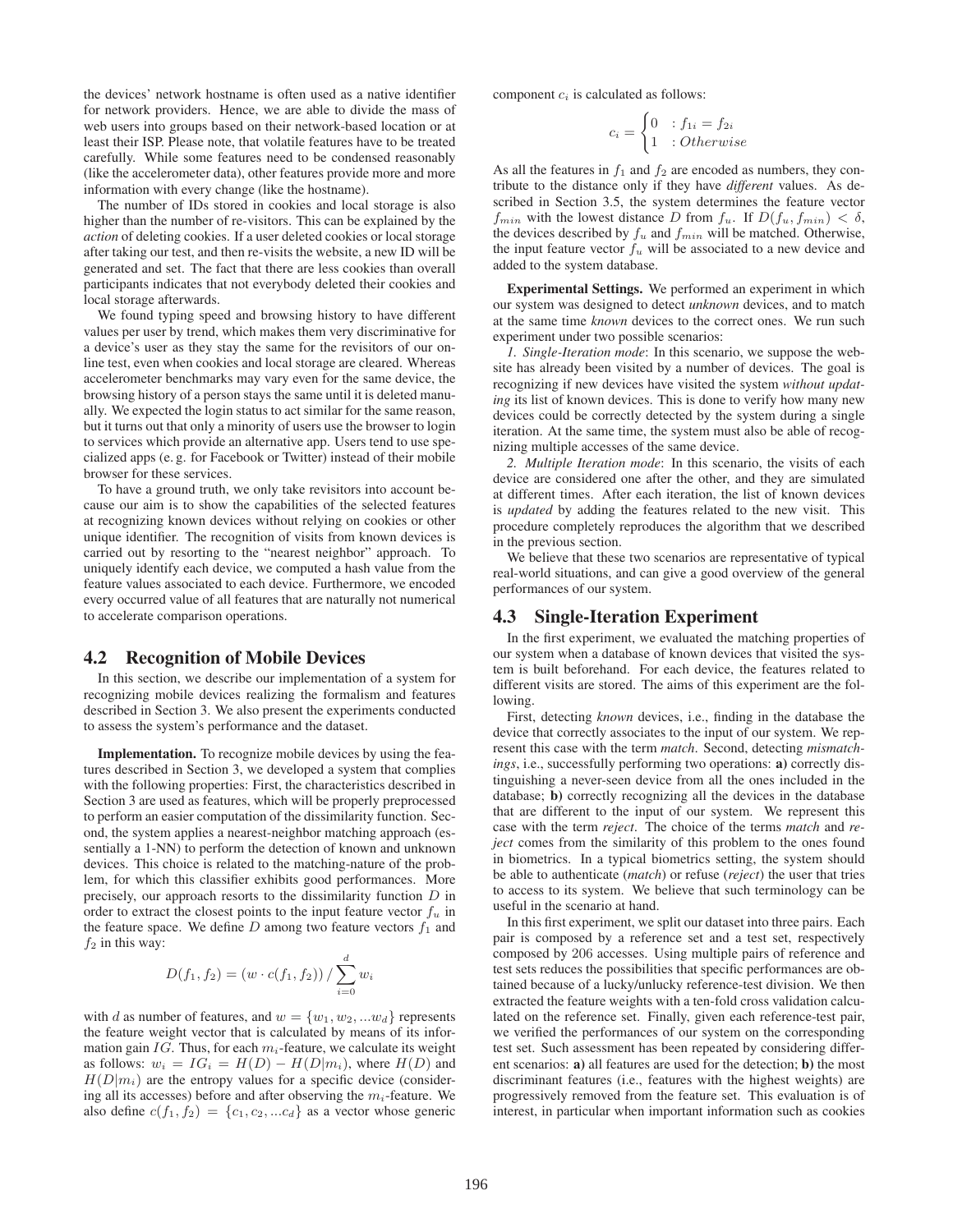the devices' network hostname is often used as a native identifier for network providers. Hence, we are able to divide the mass of web users into groups based on their network-based location or at least their ISP. Please note, that volatile features have to be treated carefully. While some features need to be condensed reasonably (like the accelerometer data), other features provide more and more information with every change (like the hostname).

The number of IDs stored in cookies and local storage is also higher than the number of re-visitors. This can be explained by the *action* of deleting cookies. If a user deleted cookies or local storage after taking our test, and then re-visits the website, a new ID will be generated and set. The fact that there are less cookies than overall participants indicates that not everybody deleted their cookies and local storage afterwards.

We found typing speed and browsing history to have different values per user by trend, which makes them very discriminative for a device's user as they stay the same for the revisitors of our online test, even when cookies and local storage are cleared. Whereas accelerometer benchmarks may vary even for the same device, the browsing history of a person stays the same until it is deleted manually. We expected the login status to act similar for the same reason, but it turns out that only a minority of users use the browser to login to services which provide an alternative app. Users tend to use specialized apps (e. g. for Facebook or Twitter) instead of their mobile browser for these services.

To have a ground truth, we only take revisitors into account because our aim is to show the capabilities of the selected features at recognizing known devices without relying on cookies or other unique identifier. The recognition of visits from known devices is carried out by resorting to the "nearest neighbor" approach. To uniquely identify each device, we computed a hash value from the feature values associated to each device. Furthermore, we encoded every occurred value of all features that are naturally not numerical to accelerate comparison operations.

#### 4.2 Recognition of Mobile Devices

In this section, we describe our implementation of a system for recognizing mobile devices realizing the formalism and features described in Section 3. We also present the experiments conducted to assess the system's performance and the dataset.

Implementation. To recognize mobile devices by using the features described in Section 3, we developed a system that complies with the following properties: First, the characteristics described in Section 3 are used as features, which will be properly preprocessed to perform an easier computation of the dissimilarity function. Second, the system applies a nearest-neighbor matching approach (essentially a 1-NN) to perform the detection of known and unknown devices. This choice is related to the matching-nature of the problem, for which this classifier exhibits good performances. More precisely, our approach resorts to the dissimilarity function D in order to extract the closest points to the input feature vector  $f_u$  in the feature space. We define  $D$  among two feature vectors  $f_1$  and  $f_2$  in this way:

$$
D(f_1, f_2) = (w \cdot c(f_1, f_2)) / \sum_{i=0}^{d} w_i
$$

with d as number of features, and  $w = \{w_1, w_2, ... w_d\}$  represents the feature weight vector that is calculated by means of its information gain  $IG$ . Thus, for each  $m_i$ -feature, we calculate its weight as follows:  $w_i = IG_i = H(D) - H(D|m_i)$ , where  $H(D)$  and  $H(D|m_i)$  are the entropy values for a specific device (considering all its accesses) before and after observing the  $m_i$ -feature. We also define  $c(f_1, f_2) = \{c_1, c_2, ... c_d\}$  as a vector whose generic

component  $c_i$  is calculated as follows:

$$
c_i = \begin{cases} 0 & \text{: } f_{1i} = f_{2i} \\ 1 & \text{: } Otherwise \end{cases}
$$

As all the features in  $f_1$  and  $f_2$  are encoded as numbers, they contribute to the distance only if they have *different* values. As described in Section 3.5, the system determines the feature vector  $f_{min}$  with the lowest distance D from  $f_u$ . If  $D(f_u, f_{min}) < \delta$ , the devices described by  $f_u$  and  $f_{min}$  will be matched. Otherwise, the input feature vector  $f_u$  will be associated to a new device and added to the system database.

Experimental Settings. We performed an experiment in which our system was designed to detect *unknown* devices, and to match at the same time *known* devices to the correct ones. We run such experiment under two possible scenarios:

*1. Single-Iteration mode*: In this scenario, we suppose the website has already been visited by a number of devices. The goal is recognizing if new devices have visited the system *without updating* its list of known devices. This is done to verify how many new devices could be correctly detected by the system during a single iteration. At the same time, the system must also be able of recognizing multiple accesses of the same device.

*2. Multiple Iteration mode*: In this scenario, the visits of each device are considered one after the other, and they are simulated at different times. After each iteration, the list of known devices is *updated* by adding the features related to the new visit. This procedure completely reproduces the algorithm that we described in the previous section.

We believe that these two scenarios are representative of typical real-world situations, and can give a good overview of the general performances of our system.

#### 4.3 Single-Iteration Experiment

In the first experiment, we evaluated the matching properties of our system when a database of known devices that visited the system is built beforehand. For each device, the features related to different visits are stored. The aims of this experiment are the following.

First, detecting *known* devices, i.e., finding in the database the device that correctly associates to the input of our system. We represent this case with the term *match*. Second, detecting *mismatchings*, i.e., successfully performing two operations: a) correctly distinguishing a never-seen device from all the ones included in the database; b) correctly recognizing all the devices in the database that are different to the input of our system. We represent this case with the term *reject*. The choice of the terms *match* and *reject* comes from the similarity of this problem to the ones found in biometrics. In a typical biometrics setting, the system should be able to authenticate (*match*) or refuse (*reject*) the user that tries to access to its system. We believe that such terminology can be useful in the scenario at hand.

In this first experiment, we split our dataset into three pairs. Each pair is composed by a reference set and a test set, respectively composed by 206 accesses. Using multiple pairs of reference and test sets reduces the possibilities that specific performances are obtained because of a lucky/unlucky reference-test division. We then extracted the feature weights with a ten-fold cross validation calculated on the reference set. Finally, given each reference-test pair, we verified the performances of our system on the corresponding test set. Such assessment has been repeated by considering different scenarios: a) all features are used for the detection; b) the most discriminant features (i.e., features with the highest weights) are progressively removed from the feature set. This evaluation is of interest, in particular when important information such as cookies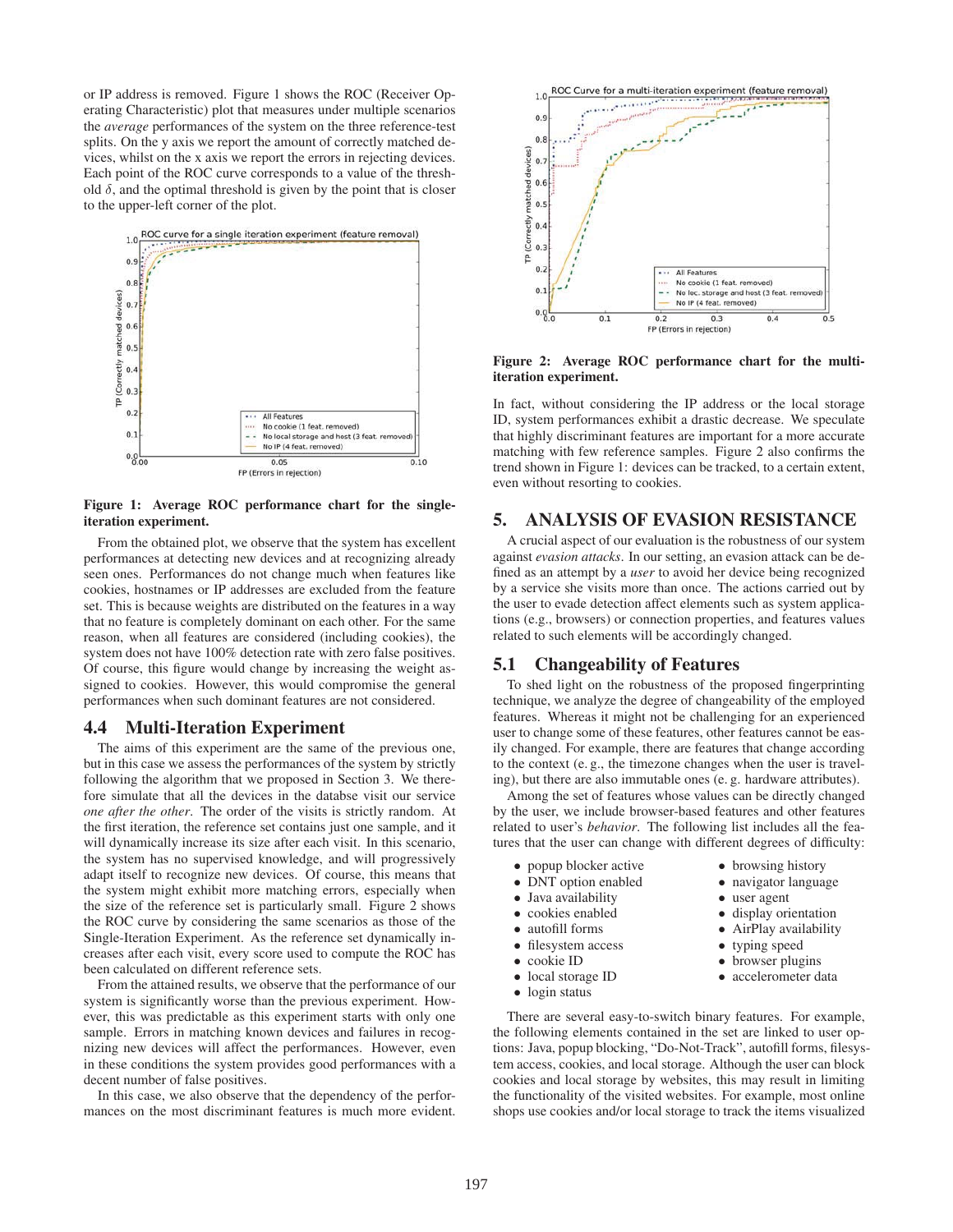or IP address is removed. Figure 1 shows the ROC (Receiver Operating Characteristic) plot that measures under multiple scenarios the *average* performances of the system on the three reference-test splits. On the y axis we report the amount of correctly matched devices, whilst on the x axis we report the errors in rejecting devices. Each point of the ROC curve corresponds to a value of the threshold  $\delta$ , and the optimal threshold is given by the point that is closer to the upper-left corner of the plot.



Figure 1: Average ROC performance chart for the singleiteration experiment.

From the obtained plot, we observe that the system has excellent performances at detecting new devices and at recognizing already seen ones. Performances do not change much when features like cookies, hostnames or IP addresses are excluded from the feature set. This is because weights are distributed on the features in a way that no feature is completely dominant on each other. For the same reason, when all features are considered (including cookies), the system does not have 100% detection rate with zero false positives. Of course, this figure would change by increasing the weight assigned to cookies. However, this would compromise the general performances when such dominant features are not considered.

#### 4.4 Multi-Iteration Experiment

The aims of this experiment are the same of the previous one, but in this case we assess the performances of the system by strictly following the algorithm that we proposed in Section 3. We therefore simulate that all the devices in the databse visit our service *one after the other*. The order of the visits is strictly random. At the first iteration, the reference set contains just one sample, and it will dynamically increase its size after each visit. In this scenario, the system has no supervised knowledge, and will progressively adapt itself to recognize new devices. Of course, this means that the system might exhibit more matching errors, especially when the size of the reference set is particularly small. Figure 2 shows the ROC curve by considering the same scenarios as those of the Single-Iteration Experiment. As the reference set dynamically increases after each visit, every score used to compute the ROC has been calculated on different reference sets.

From the attained results, we observe that the performance of our system is significantly worse than the previous experiment. However, this was predictable as this experiment starts with only one sample. Errors in matching known devices and failures in recognizing new devices will affect the performances. However, even in these conditions the system provides good performances with a decent number of false positives.

In this case, we also observe that the dependency of the performances on the most discriminant features is much more evident.



Figure 2: Average ROC performance chart for the multiiteration experiment.

In fact, without considering the IP address or the local storage ID, system performances exhibit a drastic decrease. We speculate that highly discriminant features are important for a more accurate matching with few reference samples. Figure 2 also confirms the trend shown in Figure 1: devices can be tracked, to a certain extent, even without resorting to cookies.

## 5. ANALYSIS OF EVASION RESISTANCE

A crucial aspect of our evaluation is the robustness of our system against *evasion attacks*. In our setting, an evasion attack can be defined as an attempt by a *user* to avoid her device being recognized by a service she visits more than once. The actions carried out by the user to evade detection affect elements such as system applications (e.g., browsers) or connection properties, and features values related to such elements will be accordingly changed.

## 5.1 Changeability of Features

To shed light on the robustness of the proposed fingerprinting technique, we analyze the degree of changeability of the employed features. Whereas it might not be challenging for an experienced user to change some of these features, other features cannot be easily changed. For example, there are features that change according to the context (e. g., the timezone changes when the user is traveling), but there are also immutable ones (e. g. hardware attributes).

Among the set of features whose values can be directly changed by the user, we include browser-based features and other features related to user's *behavior*. The following list includes all the features that the user can change with different degrees of difficulty:

- popup blocker active
- DNT option enabled
- Java availability
- cookies enabled
- autofill forms
- filesystem access
- cookie ID
- local storage ID
- login status
- browsing history
- navigator language
- user agent
- display orientation
- AirPlay availability
- typing speed
- browser plugins
- accelerometer data

There are several easy-to-switch binary features. For example, the following elements contained in the set are linked to user options: Java, popup blocking, "Do-Not-Track", autofill forms, filesystem access, cookies, and local storage. Although the user can block cookies and local storage by websites, this may result in limiting the functionality of the visited websites. For example, most online shops use cookies and/or local storage to track the items visualized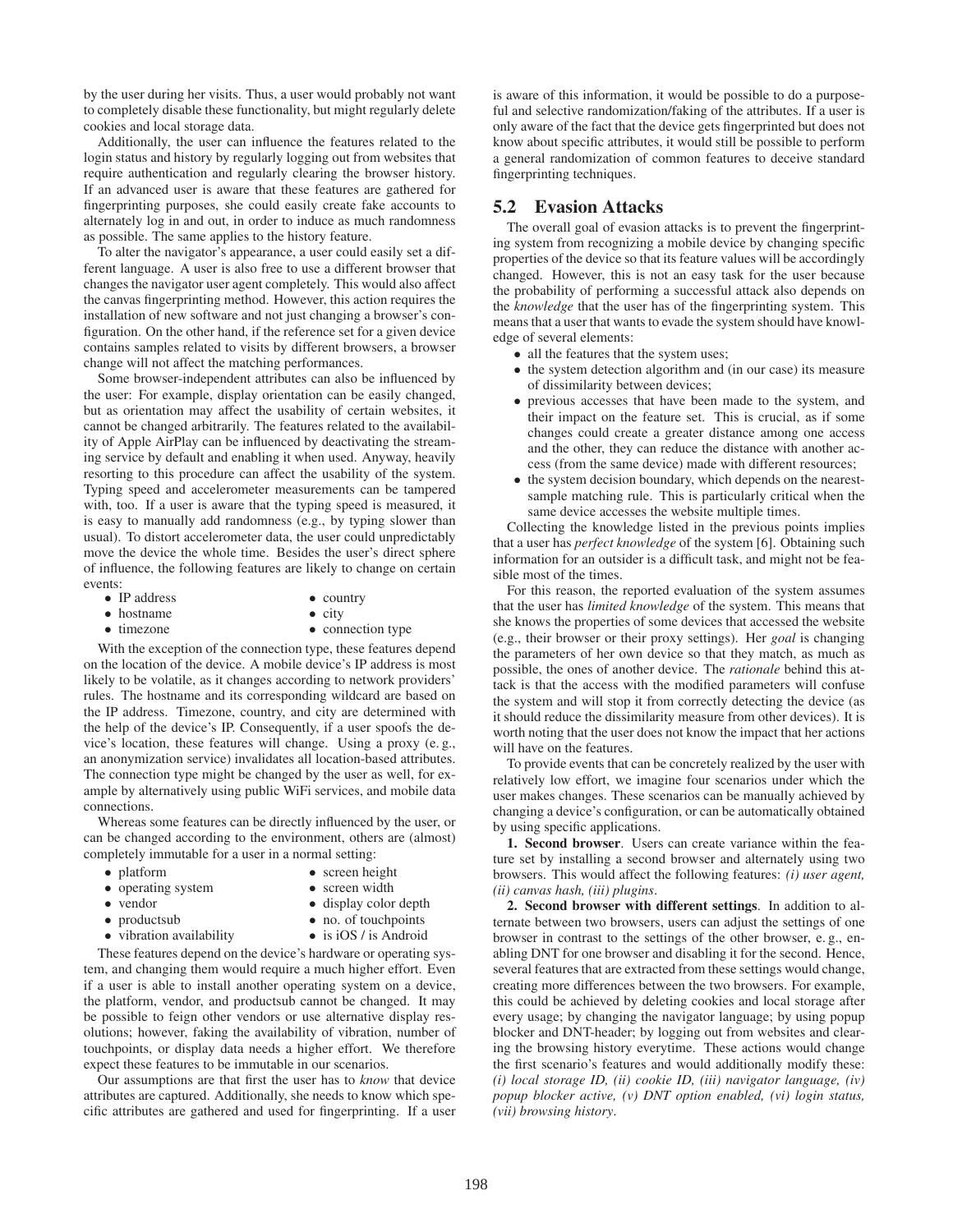by the user during her visits. Thus, a user would probably not want to completely disable these functionality, but might regularly delete cookies and local storage data.

Additionally, the user can influence the features related to the login status and history by regularly logging out from websites that require authentication and regularly clearing the browser history. If an advanced user is aware that these features are gathered for fingerprinting purposes, she could easily create fake accounts to alternately log in and out, in order to induce as much randomness as possible. The same applies to the history feature.

To alter the navigator's appearance, a user could easily set a different language. A user is also free to use a different browser that changes the navigator user agent completely. This would also affect the canvas fingerprinting method. However, this action requires the installation of new software and not just changing a browser's configuration. On the other hand, if the reference set for a given device contains samples related to visits by different browsers, a browser change will not affect the matching performances.

Some browser-independent attributes can also be influenced by the user: For example, display orientation can be easily changed, but as orientation may affect the usability of certain websites, it cannot be changed arbitrarily. The features related to the availability of Apple AirPlay can be influenced by deactivating the streaming service by default and enabling it when used. Anyway, heavily resorting to this procedure can affect the usability of the system. Typing speed and accelerometer measurements can be tampered with, too. If a user is aware that the typing speed is measured, it is easy to manually add randomness (e.g., by typing slower than usual). To distort accelerometer data, the user could unpredictably move the device the whole time. Besides the user's direct sphere of influence, the following features are likely to change on certain events:

| $\bullet$ IP address | $\bullet$ country |
|----------------------|-------------------|
|                      |                   |

- hostname • timezone
- city • connection type

With the exception of the connection type, these features depend on the location of the device. A mobile device's IP address is most likely to be volatile, as it changes according to network providers' rules. The hostname and its corresponding wildcard are based on the IP address. Timezone, country, and city are determined with the help of the device's IP. Consequently, if a user spoofs the device's location, these features will change. Using a proxy (e. g., an anonymization service) invalidates all location-based attributes. The connection type might be changed by the user as well, for example by alternatively using public WiFi services, and mobile data connections.

Whereas some features can be directly influenced by the user, or can be changed according to the environment, others are (almost) completely immutable for a user in a normal setting:

• platform

- screen height • screen width
- operating system
- 
- vendor
- display color depth
- productsub
- no. of touchpoints
- vibration availability
- is iOS / is Android

These features depend on the device's hardware or operating system, and changing them would require a much higher effort. Even if a user is able to install another operating system on a device, the platform, vendor, and productsub cannot be changed. It may be possible to feign other vendors or use alternative display resolutions; however, faking the availability of vibration, number of touchpoints, or display data needs a higher effort. We therefore expect these features to be immutable in our scenarios.

Our assumptions are that first the user has to *know* that device attributes are captured. Additionally, she needs to know which specific attributes are gathered and used for fingerprinting. If a user is aware of this information, it would be possible to do a purposeful and selective randomization/faking of the attributes. If a user is only aware of the fact that the device gets fingerprinted but does not know about specific attributes, it would still be possible to perform a general randomization of common features to deceive standard fingerprinting techniques.

## 5.2 Evasion Attacks

The overall goal of evasion attacks is to prevent the fingerprinting system from recognizing a mobile device by changing specific properties of the device so that its feature values will be accordingly changed. However, this is not an easy task for the user because the probability of performing a successful attack also depends on the *knowledge* that the user has of the fingerprinting system. This means that a user that wants to evade the system should have knowledge of several elements:

- all the features that the system uses;
- the system detection algorithm and (in our case) its measure of dissimilarity between devices;
- previous accesses that have been made to the system, and their impact on the feature set. This is crucial, as if some changes could create a greater distance among one access and the other, they can reduce the distance with another access (from the same device) made with different resources;
- the system decision boundary, which depends on the nearestsample matching rule. This is particularly critical when the same device accesses the website multiple times.

Collecting the knowledge listed in the previous points implies that a user has *perfect knowledge* of the system [6]. Obtaining such information for an outsider is a difficult task, and might not be feasible most of the times.

For this reason, the reported evaluation of the system assumes that the user has *limited knowledge* of the system. This means that she knows the properties of some devices that accessed the website (e.g., their browser or their proxy settings). Her *goal* is changing the parameters of her own device so that they match, as much as possible, the ones of another device. The *rationale* behind this attack is that the access with the modified parameters will confuse the system and will stop it from correctly detecting the device (as it should reduce the dissimilarity measure from other devices). It is worth noting that the user does not know the impact that her actions will have on the features.

To provide events that can be concretely realized by the user with relatively low effort, we imagine four scenarios under which the user makes changes. These scenarios can be manually achieved by changing a device's configuration, or can be automatically obtained by using specific applications.

1. Second browser. Users can create variance within the feature set by installing a second browser and alternately using two browsers. This would affect the following features: *(i) user agent, (ii) canvas hash, (iii) plugins*.

2. Second browser with different settings. In addition to alternate between two browsers, users can adjust the settings of one browser in contrast to the settings of the other browser, e. g., enabling DNT for one browser and disabling it for the second. Hence, several features that are extracted from these settings would change, creating more differences between the two browsers. For example, this could be achieved by deleting cookies and local storage after every usage; by changing the navigator language; by using popup blocker and DNT-header; by logging out from websites and clearing the browsing history everytime. These actions would change the first scenario's features and would additionally modify these: *(i) local storage ID, (ii) cookie ID, (iii) navigator language, (iv) popup blocker active, (v) DNT option enabled, (vi) login status, (vii) browsing history*.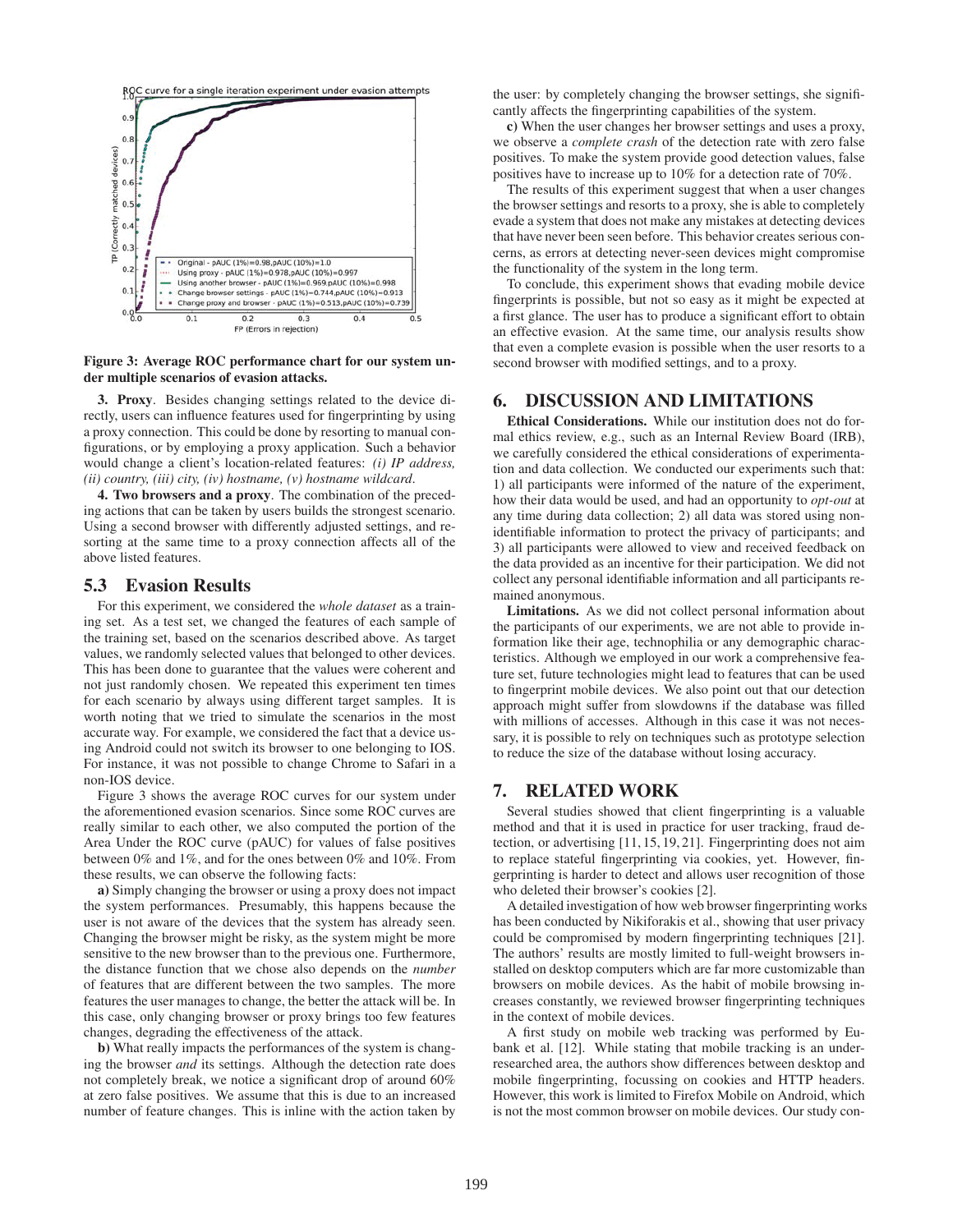

Figure 3: Average ROC performance chart for our system under multiple scenarios of evasion attacks.

3. Proxy. Besides changing settings related to the device directly, users can influence features used for fingerprinting by using a proxy connection. This could be done by resorting to manual configurations, or by employing a proxy application. Such a behavior would change a client's location-related features: *(i) IP address, (ii) country, (iii) city, (iv) hostname, (v) hostname wildcard*.

4. Two browsers and a proxy. The combination of the preceding actions that can be taken by users builds the strongest scenario. Using a second browser with differently adjusted settings, and resorting at the same time to a proxy connection affects all of the above listed features.

#### 5.3 Evasion Results

For this experiment, we considered the *whole dataset* as a training set. As a test set, we changed the features of each sample of the training set, based on the scenarios described above. As target values, we randomly selected values that belonged to other devices. This has been done to guarantee that the values were coherent and not just randomly chosen. We repeated this experiment ten times for each scenario by always using different target samples. It is worth noting that we tried to simulate the scenarios in the most accurate way. For example, we considered the fact that a device using Android could not switch its browser to one belonging to IOS. For instance, it was not possible to change Chrome to Safari in a non-IOS device.

Figure 3 shows the average ROC curves for our system under the aforementioned evasion scenarios. Since some ROC curves are really similar to each other, we also computed the portion of the Area Under the ROC curve (pAUC) for values of false positives between 0% and 1%, and for the ones between 0% and 10%. From these results, we can observe the following facts:

a) Simply changing the browser or using a proxy does not impact the system performances. Presumably, this happens because the user is not aware of the devices that the system has already seen. Changing the browser might be risky, as the system might be more sensitive to the new browser than to the previous one. Furthermore, the distance function that we chose also depends on the *number* of features that are different between the two samples. The more features the user manages to change, the better the attack will be. In this case, only changing browser or proxy brings too few features changes, degrading the effectiveness of the attack.

b) What really impacts the performances of the system is changing the browser *and* its settings. Although the detection rate does not completely break, we notice a significant drop of around 60% at zero false positives. We assume that this is due to an increased number of feature changes. This is inline with the action taken by the user: by completely changing the browser settings, she significantly affects the fingerprinting capabilities of the system.

c) When the user changes her browser settings and uses a proxy, we observe a *complete crash* of the detection rate with zero false positives. To make the system provide good detection values, false positives have to increase up to 10% for a detection rate of 70%.

The results of this experiment suggest that when a user changes the browser settings and resorts to a proxy, she is able to completely evade a system that does not make any mistakes at detecting devices that have never been seen before. This behavior creates serious concerns, as errors at detecting never-seen devices might compromise the functionality of the system in the long term.

To conclude, this experiment shows that evading mobile device fingerprints is possible, but not so easy as it might be expected at a first glance. The user has to produce a significant effort to obtain an effective evasion. At the same time, our analysis results show that even a complete evasion is possible when the user resorts to a second browser with modified settings, and to a proxy.

## 6. DISCUSSION AND LIMITATIONS

Ethical Considerations. While our institution does not do formal ethics review, e.g., such as an Internal Review Board (IRB), we carefully considered the ethical considerations of experimentation and data collection. We conducted our experiments such that: 1) all participants were informed of the nature of the experiment, how their data would be used, and had an opportunity to *opt-out* at any time during data collection; 2) all data was stored using nonidentifiable information to protect the privacy of participants; and 3) all participants were allowed to view and received feedback on the data provided as an incentive for their participation. We did not collect any personal identifiable information and all participants remained anonymous.

Limitations. As we did not collect personal information about the participants of our experiments, we are not able to provide information like their age, technophilia or any demographic characteristics. Although we employed in our work a comprehensive feature set, future technologies might lead to features that can be used to fingerprint mobile devices. We also point out that our detection approach might suffer from slowdowns if the database was filled with millions of accesses. Although in this case it was not necessary, it is possible to rely on techniques such as prototype selection to reduce the size of the database without losing accuracy.

## 7. RELATED WORK

Several studies showed that client fingerprinting is a valuable method and that it is used in practice for user tracking, fraud detection, or advertising [11, 15, 19, 21]. Fingerprinting does not aim to replace stateful fingerprinting via cookies, yet. However, fingerprinting is harder to detect and allows user recognition of those who deleted their browser's cookies [2].

A detailed investigation of how web browser fingerprinting works has been conducted by Nikiforakis et al., showing that user privacy could be compromised by modern fingerprinting techniques [21]. The authors' results are mostly limited to full-weight browsers installed on desktop computers which are far more customizable than browsers on mobile devices. As the habit of mobile browsing increases constantly, we reviewed browser fingerprinting techniques in the context of mobile devices.

A first study on mobile web tracking was performed by Eubank et al. [12]. While stating that mobile tracking is an underresearched area, the authors show differences between desktop and mobile fingerprinting, focussing on cookies and HTTP headers. However, this work is limited to Firefox Mobile on Android, which is not the most common browser on mobile devices. Our study con